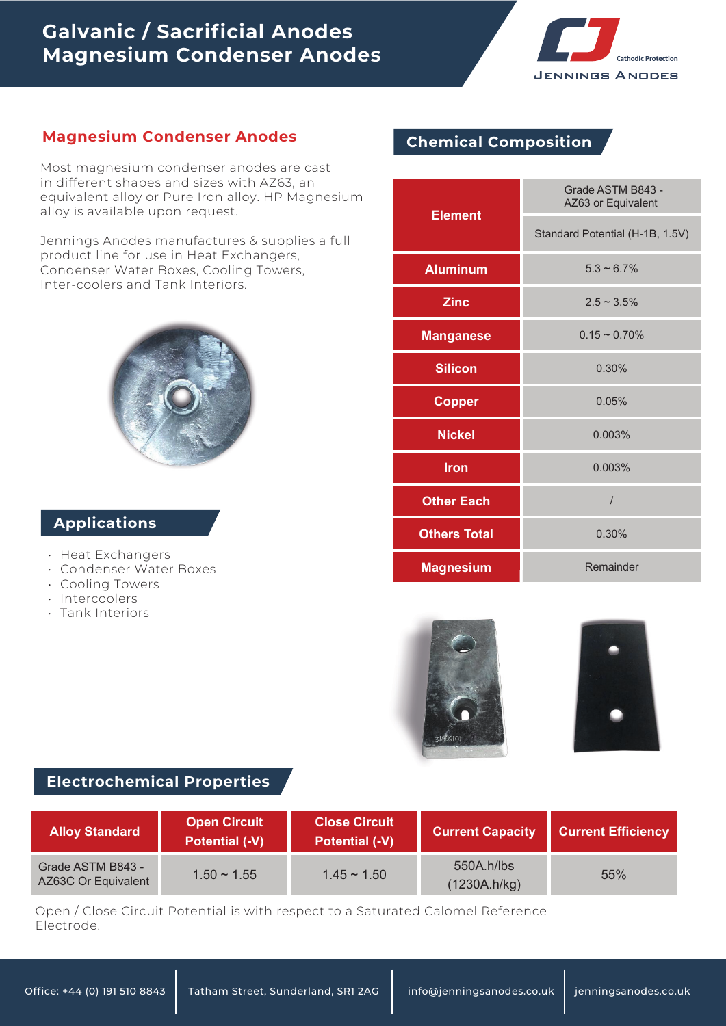# **Galvanic / Sacrificial Anodes Magnesium Condenser Anodes**



# **Magnesium Condenser Anodes Chemical Composition**

Most magnesium condenser anodes are cast in different shapes and sizes with AZ63, an equivalent alloy or Pure Iron alloy. HP Magnesium alloy is available upon request.

Jennings Anodes manufactures & supplies a full product line for use in Heat Exchangers, Condenser Water Boxes, Cooling Towers, Inter-coolers and Tank Interiors.

# **Applications**

- Heat Exchangers
- Condenser Water Boxes •
- Cooling Towers •
- Intercoolers
- Tank Interiors •

| <b>Element</b>      | Grade ASTM B843 -<br>AZ63 or Equivalent |  |  |
|---------------------|-----------------------------------------|--|--|
|                     | Standard Potential (H-1B, 1.5V)         |  |  |
| <b>Aluminum</b>     | $5.3 \sim 6.7\%$                        |  |  |
| <b>Zinc</b>         | $2.5 \sim 3.5\%$                        |  |  |
| <b>Manganese</b>    | $0.15 \sim 0.70\%$                      |  |  |
| <b>Silicon</b>      | 0.30%                                   |  |  |
| <b>Copper</b>       | 0.05%                                   |  |  |
| <b>Nickel</b>       | 0.003%                                  |  |  |
| <b>Iron</b>         | 0.003%                                  |  |  |
| <b>Other Each</b>   | $\overline{I}$                          |  |  |
| <b>Others Total</b> | 0.30%                                   |  |  |
| <b>Magnesium</b>    | Remainder                               |  |  |





### **Electrochemical Properties**

| <b>Alloy Standard</b>                    | <b>Open Circuit</b><br><b>Potential (-V)</b> | <b>Close Circuit</b><br><b>Potential (-V)</b> | <b>Current Capacity</b>    | <b>Current Efficiency</b> |
|------------------------------------------|----------------------------------------------|-----------------------------------------------|----------------------------|---------------------------|
| Grade ASTM B843 -<br>AZ63C Or Equivalent | $1.50 \sim 1.55$                             | $1.45 \sim 1.50$                              | 550A.h/lbs<br>(1230A.h/kg) | 55%                       |

Open / Close Circuit Potential is with respect to a Saturated Calomel Reference Electrode.